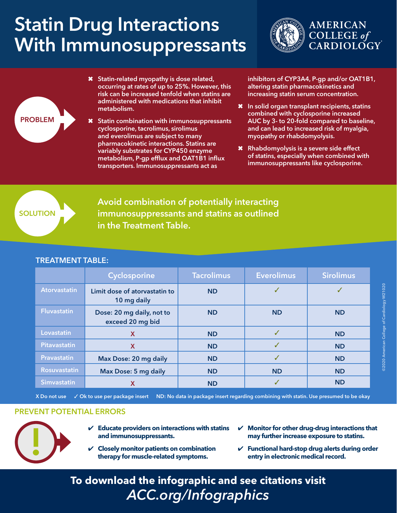## Statin Drug Interactions With Immunosuppressants





✖ Statin-related myopathy is dose related, occurring at rates of up to 25%. However, this risk can be increased tenfold when statins are administered with medications that inhibit metabolism.

Statin combination with immunosuppressants cyclosporine, tacrolimus, sirolimus and everolimus are subject to many pharmacokinetic interactions. Statins are variably substrates for CYP450 enzyme metabolism, P-gp efflux and OAT1B1 influx transporters. Immunosuppressants act as

inhibitors of CYP3A4, P-gp and/or OAT1B1, altering statin pharmacokinetics and increasing statin serum concentration.

- ✖ In solid organ transplant recipients, statins combined with cyclosporine increased AUC by 3- to 20-fold compared to baseline, and can lead to increased risk of myalgia, myopathy or rhabdomyolysis.
- ✖ Rhabdomyolysis is a severe side effect of statins, especially when combined with immunosuppressants like cyclosporine.

**SOLUTION** 

Avoid combination of potentially interacting immunosuppressants and statins as outlined in the Treatment Table.

## TREATMENT TABLE: Cyclosporine | Tacrolimus | Everolimus | Sirolimus Atorvastatin Limit dose of atorvastatin to 10 mg daily ND  $\bigcup$   $\bigcup$   $\bigcup$   $\bigcup$ Fluvastatin **Dose: 20 mg daily, not to** exceed 20 mg bid ND ND ND Lovastatin **X** X ND <mark>ND V ND ND</mark> Pitavastatin X X ND <mark>ND V ND ND</mark> Pravastatin Max Dose: 20 mg daily ND 3 ND 3 ND 3 ND Rosuvastatin Max Dose: 5 mg daily ND ND ND ND ND Simvastatin X ND 3 ND

X Do not use  $\checkmark$  Ok to use per package insert ND: No data in package insert regarding combining with statin. Use presumed to be okay

## PREVENT POTENTIAL ERRORS



- Educate providers on interactions with statins<br>and immunosuppressants.<br>
V Closely monitor patients on combination<br>
therapy for muscle-related symptoms. **and immunosuppressants.**
	- ✔ **Closely monitor patients on combination therapy for muscle-related symptoms.**
- ✔ **Monitor for other drug-drug interactions that may further increase exposure to statins.**
- ✔ **Functional hard-stop drug alerts during order entry in electronic medical record.**

**To download the infographic and see citations visit** *ACC.org/Infographics*